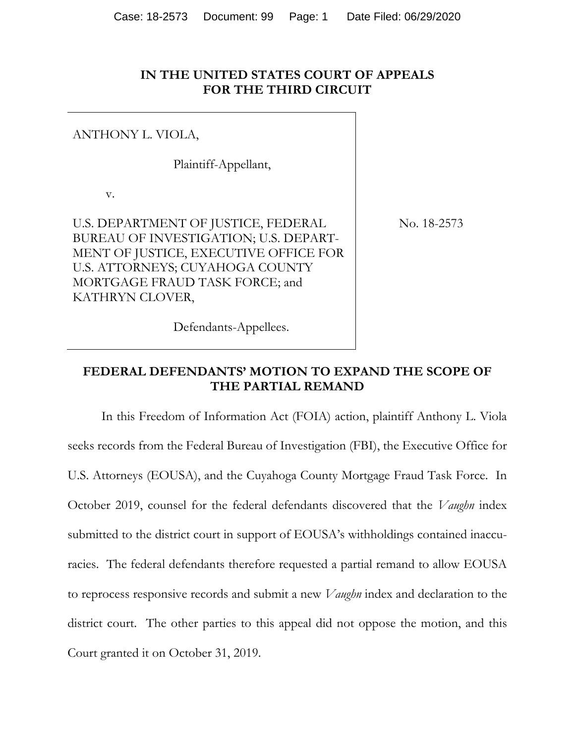### **IN THE UNITED STATES COURT OF APPEALS FOR THE THIRD CIRCUIT**

#### ANTHONY L. VIOLA,

Plaintiff-Appellant,

v.

U.S. DEPARTMENT OF JUSTICE, FEDERAL BUREAU OF INVESTIGATION; U.S. DEPART-MENT OF JUSTICE, EXECUTIVE OFFICE FOR U.S. ATTORNEYS; CUYAHOGA COUNTY MORTGAGE FRAUD TASK FORCE; and KATHRYN CLOVER,

No. 18-2573

#### Defendants-Appellees.

### **FEDERAL DEFENDANTS' MOTION TO EXPAND THE SCOPE OF THE PARTIAL REMAND**

In this Freedom of Information Act (FOIA) action, plaintiff Anthony L. Viola seeks records from the Federal Bureau of Investigation (FBI), the Executive Office for U.S. Attorneys (EOUSA), and the Cuyahoga County Mortgage Fraud Task Force. In October 2019, counsel for the federal defendants discovered that the *Vaughn* index submitted to the district court in support of EOUSA's withholdings contained inaccuracies. The federal defendants therefore requested a partial remand to allow EOUSA to reprocess responsive records and submit a new *Vaughn* index and declaration to the district court. The other parties to this appeal did not oppose the motion, and this Court granted it on October 31, 2019.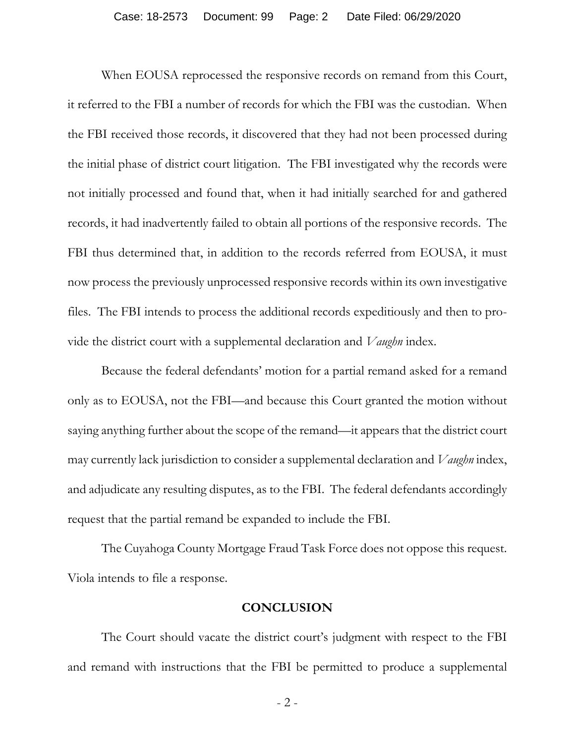When EOUSA reprocessed the responsive records on remand from this Court, it referred to the FBI a number of records for which the FBI was the custodian. When the FBI received those records, it discovered that they had not been processed during the initial phase of district court litigation. The FBI investigated why the records were not initially processed and found that, when it had initially searched for and gathered records, it had inadvertently failed to obtain all portions of the responsive records. The FBI thus determined that, in addition to the records referred from EOUSA, it must now process the previously unprocessed responsive records within its own investigative files. The FBI intends to process the additional records expeditiously and then to provide the district court with a supplemental declaration and *Vaughn* index.

Because the federal defendants' motion for a partial remand asked for a remand only as to EOUSA, not the FBI—and because this Court granted the motion without saying anything further about the scope of the remand—it appears that the district court may currently lack jurisdiction to consider a supplemental declaration and *Vaughn* index, and adjudicate any resulting disputes, as to the FBI. The federal defendants accordingly request that the partial remand be expanded to include the FBI.

The Cuyahoga County Mortgage Fraud Task Force does not oppose this request. Viola intends to file a response.

#### **CONCLUSION**

The Court should vacate the district court's judgment with respect to the FBI and remand with instructions that the FBI be permitted to produce a supplemental

- 2 -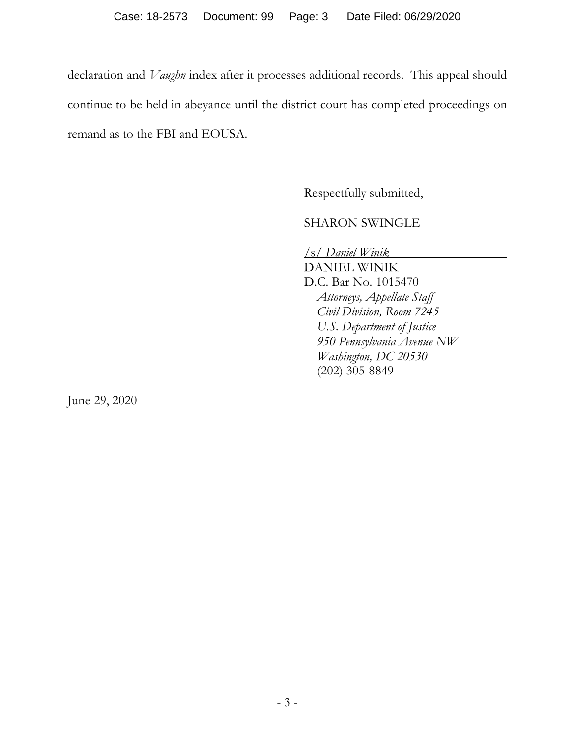declaration and *Vaughn* index after it processes additional records. This appeal should continue to be held in abeyance until the district court has completed proceedings on remand as to the FBI and EOUSA.

Respectfully submitted,

SHARON SWINGLE

/s/ *Daniel Winik*

DANIEL WINIK D.C. Bar No. 1015470 *Attorneys, Appellate Staff Civil Division, Room 7245 U.S. Department of Justice 950 Pennsylvania Avenue NW Washington, DC 20530*  (202) 305-8849

June 29, 2020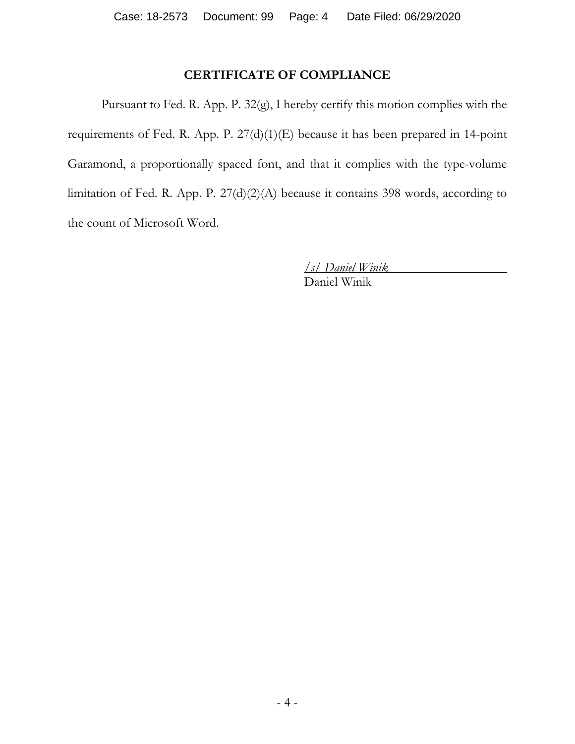# **CERTIFICATE OF COMPLIANCE**

Pursuant to Fed. R. App. P. 32(g), I hereby certify this motion complies with the requirements of Fed. R. App. P. 27(d)(1)(E) because it has been prepared in 14-point Garamond, a proportionally spaced font, and that it complies with the type-volume limitation of Fed. R. App. P. 27(d)(2)(A) because it contains 398 words, according to the count of Microsoft Word.

*/s/ Daniel Winik*

Daniel Winik